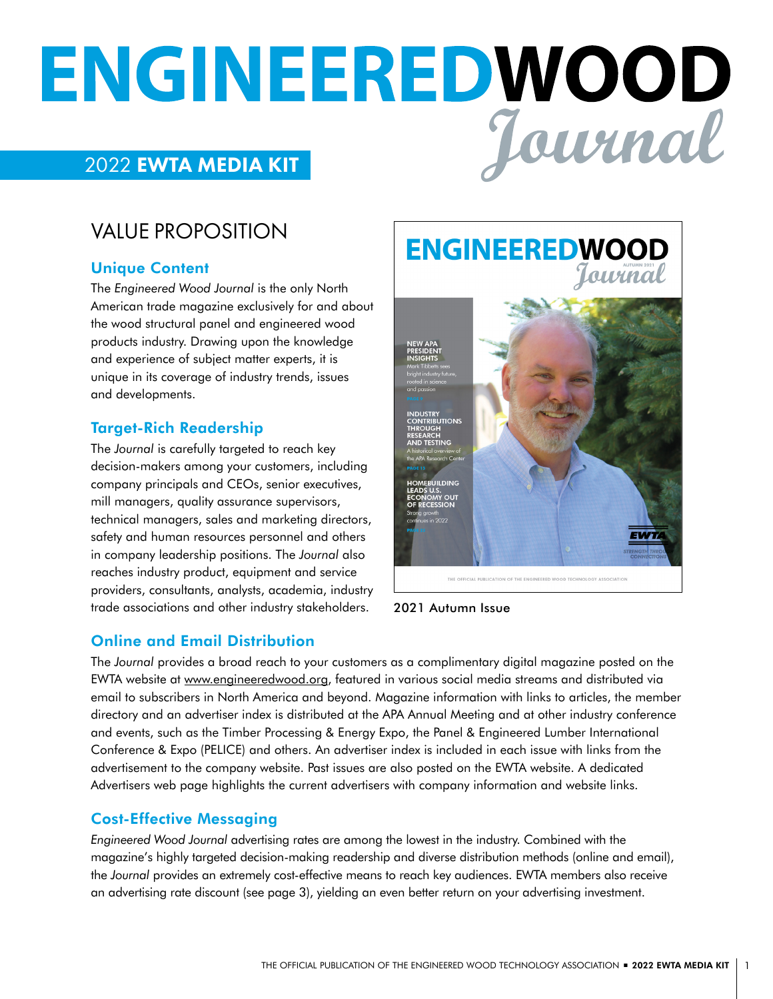# ENGINEERED WOOD

# VALUE PROPOSITION

#### Unique Content

The *Engineered Wood Journal* is the only North American trade magazine exclusively for and about the wood structural panel and engineered wood products industry. Drawing upon the knowledge and experience of subject matter experts, it is unique in its coverage of industry trends, issues and developments.

#### Target-Rich Readership

The *Journal* is carefully targeted to reach key decision-makers among your customers, including company principals and CEOs, senior executives, mill managers, quality assurance supervisors, technical managers, sales and marketing directors, safety and human resources personnel and others in company leadership positions. The *Journal* also reaches industry product, equipment and service providers, consultants, analysts, academia, industry trade associations and other industry stakeholders.

# **ENGINEEREDWOOD** Journal DUSTRY<br>DNTRIBUTIONS **BUILDING**

2021 Autumn Issue

#### Online and Email Distribution

The *Journal* provides a broad reach to your customers as a complimentary digital magazine posted on the EWTA website at [www.engineeredwood.org,](www.engineeredwood.orghttp://) featured in various social media streams and distributed via email to subscribers in North America and beyond. Magazine information with links to articles, the member directory and an advertiser index is distributed at the APA Annual Meeting and at other industry conference and events, such as the Timber Processing & Energy Expo, the Panel & Engineered Lumber International Conference & Expo (PELICE) and others. An advertiser index is included in each issue with links from the advertisement to the company website. Past issues are also posted on the EWTA website. A dedicated Advertisers web page highlights the current advertisers with company information and website links.

#### Cost-Effective Messaging

*Engineered Wood Journal* advertising rates are among the lowest in the industry. Combined with the magazine's highly targeted decision-making readership and diverse distribution methods (online and email), the *Journal* provides an extremely cost-effective means to reach key audiences. EWTA members also receive an advertising rate discount (see page 3), yielding an even better return on your advertising investment.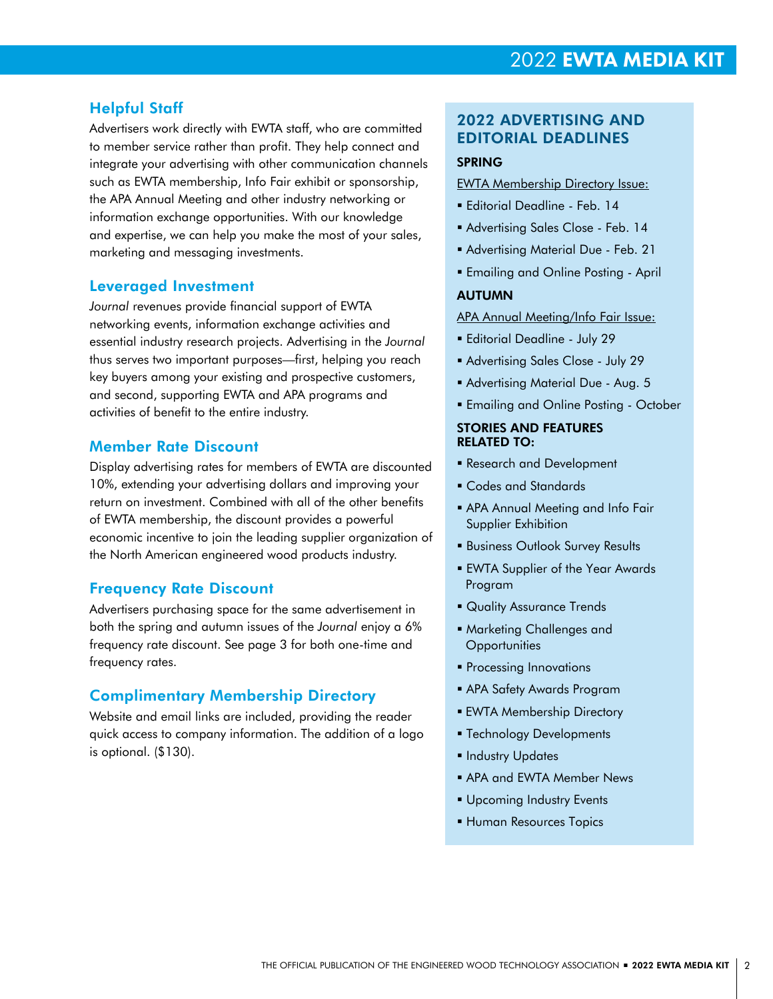#### Helpful Staff

Advertisers work directly with EWTA staff, who are committed to member service rather than profit. They help connect and integrate your advertising with other communication channels such as EWTA membership, Info Fair exhibit or sponsorship, the APA Annual Meeting and other industry networking or information exchange opportunities. With our knowledge and expertise, we can help you make the most of your sales, marketing and messaging investments.

#### Leveraged Investment

*Journal* revenues provide financial support of EWTA networking events, information exchange activities and essential industry research projects. Advertising in the *Journal* thus serves two important purposes—first, helping you reach key buyers among your existing and prospective customers, and second, supporting EWTA and APA programs and activities of benefit to the entire industry.

#### Member Rate Discount

Display advertising rates for members of EWTA are discounted 10%, extending your advertising dollars and improving your return on investment. Combined with all of the other benefits of EWTA membership, the discount provides a powerful economic incentive to join the leading supplier organization of the North American engineered wood products industry.

#### Frequency Rate Discount

Advertisers purchasing space for the same advertisement in both the spring and autumn issues of the *Journal* enjoy a 6% frequency rate discount. See page 3 for both one-time and frequency rates.

#### Complimentary Membership Directory

Website and email links are included, providing the reader quick access to company information. The addition of a logo is optional. (\$130).

### 2022 ADVERTISING AND EDITORIAL DEADLINES

#### SPRING

#### EWTA Membership Directory Issue:

- Editorial Deadline Feb. 14
- Advertising Sales Close Feb. 14
- Advertising Material Due Feb. 21
- **Emailing and Online Posting April**

#### AUTUMN

APA Annual Meeting/Info Fair Issue:

- Editorial Deadline July 29
- Advertising Sales Close July 29
- Advertising Material Due Aug. 5
- **Emailing and Online Posting October**

#### STORIES AND FEATURES RELATED TO:

- Research and Development
- Codes and Standards
- APA Annual Meeting and Info Fair Supplier Exhibition
- **Business Outlook Survey Results**
- EWTA Supplier of the Year Awards Program
- **Quality Assurance Trends**
- Marketing Challenges and **Opportunities**
- **Processing Innovations**
- APA Safety Awards Program
- **EWTA Membership Directory**
- **Technology Developments**
- **Industry Updates**
- **APA and EWTA Member News**
- **Upcoming Industry Events**
- Human Resources Topics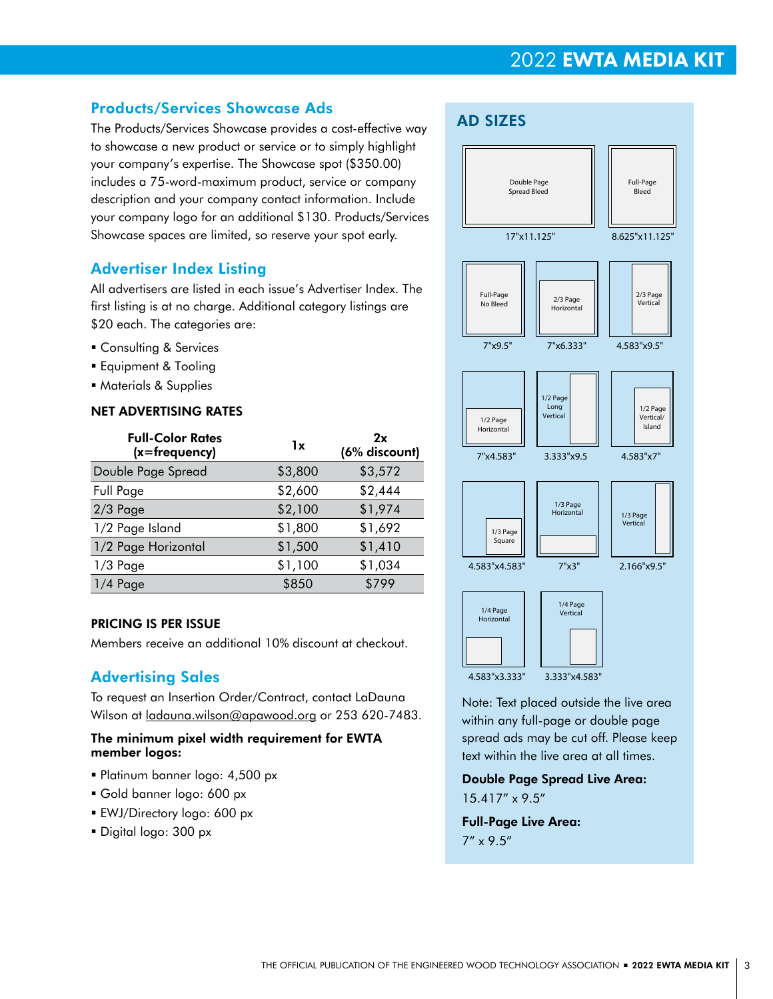#### Products/Services Showcase Ads

The Products/Services Showcase provides a cost-effective way to showcase a new product or service or to simply highlight your company's expertise. The Showcase spot (\$350.00) includes a 75-word-maximum product, service or company description and your company contact information. Include your company logo for an additional \$130. Products/Services Showcase spaces are limited, so reserve your spot early.

#### Advertiser Index Listing

All advertisers are listed in each issue's Advertiser Index. The first listing is at no charge. Additional category listings are \$20 each. The categories are:

- **Consulting & Services**
- **Equipment & Tooling**
- Materials & Supplies

#### NET ADVERTISING RATES

| <b>Full-Color Rates</b><br>$(x = frequency)$ | 1x      | 2x<br>(6% discount) |
|----------------------------------------------|---------|---------------------|
| Double Page Spread                           | \$3,800 | \$3,572             |
| Full Page                                    | \$2,600 | \$2,444             |
| $2/3$ Page                                   | \$2,100 | \$1,974             |
| 1/2 Page Island                              | \$1,800 | \$1,692             |
| 1/2 Page Horizontal                          | \$1,500 | \$1,410             |
| $1/3$ Page                                   | \$1,100 | \$1,034             |
| $1/4$ Page                                   | \$850   | \$799               |

#### PRICING IS PER ISSUE

Members receive an additional 10% discount at checkout.

#### Advertising Sales

To request an Insertion Order/Contract, contact LaDauna Wilson at <u>ladauna.wilson@apawood.org</u> or 253 620-7483.

#### The minimum pixel width requirement for EWTA member logos:

- Platinum banner logo: 4,500 px
- Gold banner logo: 600 px
- EWJ/Directory logo: 600 px
- Digital logo: 300 px



Note: Text placed outside the live area within any full-page or double page spread ads may be cut off. Please keep text within the live area at all times.

#### Double Page Spread Live Area: 15.417" x 9.5"

Full-Page Live Area: 7" x 9.5"